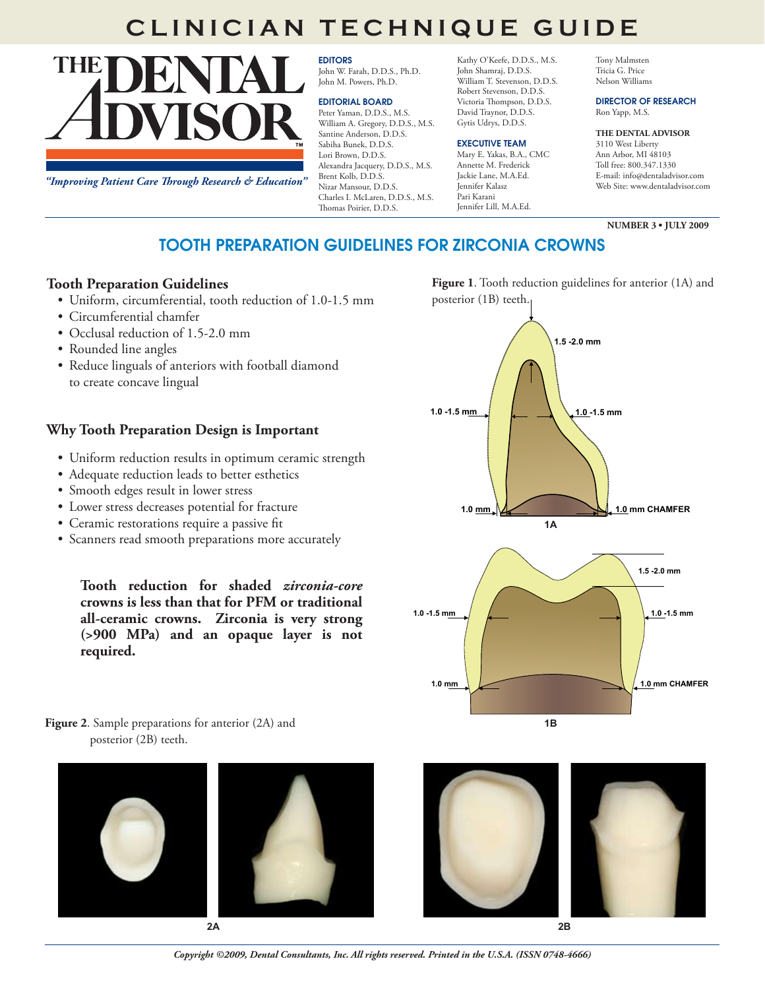# **CLINICIAN TECHNIQUE GUIDE**

THE

EDITORS John W. Farah, D.D.S., Ph.D. John M. Powers, Ph.D.

#### EDITORIAL BOARD

Peter Yaman, D.D.S., M.S. William A. Gregory, D.D.S., M.S. Santine Anderson, D.D.S. Sabiha Bunek, D.D.S. Lori Brown, D.D.S. Alexandra Jacquery, D.D.S., M.S. Brent Kolb, D.D.S. Nizar Mansour, D.D.S. Charles I. McLaren, D.D.S., M.S. Thomas Poirier, D.D.S.

Kathy O'Keefe, D.D.S., M.S. John Shamraj, D.D.S. William T. Stevenson, D.D.S. Robert Stevenson, D.D.S. Victoria Thompson, D.D.S. David Traynor, D.D.S. Gytis Udrys, D.D.S.

#### EXECUTIVE TEAM

Mary E. Yakas, B.A., CMC Annette M. Frederick Jackie Lane, M.A.Ed. Jennifer Kalasz Pari Karani Jennifer Lill, M.A.Ed.

Tony Malmsten Tricia G. Price Nelson Williams

#### DIRECTOR OF RESEARCH Ron Yapp, M.S.

#### **THE DENTAL ADVISOR**

3110 West Liberty Ann Arbor, MI 48103 Toll free: 800.347.1330 E-mail: info@dentaladvisor.com Web Site: www.dentaladvisor.com

**NUMBER 3 • JULY 2009**

*"Improving Patient Care Through Research & Education"*

## TOOTH PREPARATION GUIDELINES FOR ZIRCONIA CROWNS

### **Tooth Preparation Guidelines**

- • Uniform, circumferential, tooth reduction of 1.0-1.5 mm
- • Circumferential chamfer
- Occlusal reduction of 1.5-2.0 mm
- Rounded line angles
- Reduce linguals of anteriors with football diamond to create concave lingual

## **Why Tooth Preparation Design is Important**

- Uniform reduction results in optimum ceramic strength
- • Adequate reduction leads to better esthetics
- Smooth edges result in lower stress
- • Lower stress decreases potential for fracture
- Ceramic restorations require a passive fit
- Scanners read smooth preparations more accurately

**Tooth reduction for shaded** *zirconia-core* **crowns is less than that for PFM or traditional all-ceramic crowns. Zirconia is very strong (>900 MPa) and an opaque layer is not required.**

**1.0 mm 1.0 mm CHAMFER 1.0 -1.5 mm 1.0 -1.5 mm 1.5 -2.0 mm 1.5 -2.0 mm 1.0 -1.5 mm 1.0 -1.5 mm 1.0 mm 1.0 mm 1.0 mm 1.0 mm 1.0 mm 1.0 mm 1.0 mm 1.0 mm 1A**



**Figure 2.** Sample preparations for anterior (2A) and **1B** posterior (2B) teeth.









posterior (1B) teeth.



**Figure 1**. Tooth reduction guidelines for anterior (1A) and